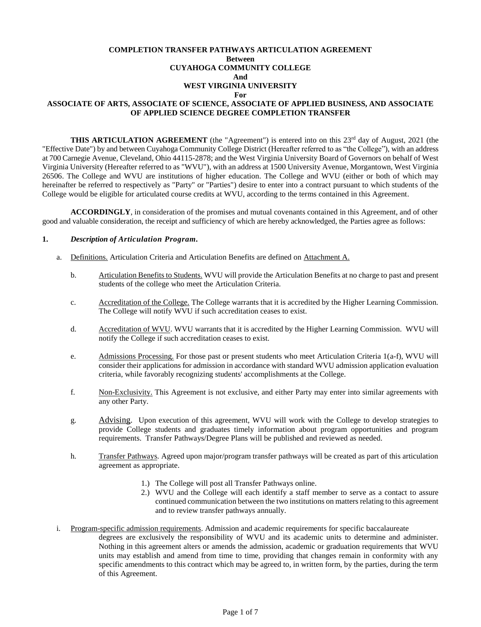## **COMPLETION TRANSFER PATHWAYS ARTICULATION AGREEMENT Between CUYAHOGA COMMUNITY COLLEGE And WEST VIRGINIA UNIVERSITY For ASSOCIATE OF ARTS, ASSOCIATE OF SCIENCE, ASSOCIATE OF APPLIED BUSINESS, AND ASSOCIATE OF APPLIED SCIENCE DEGREE COMPLETION TRANSFER**

**THIS ARTICULATION AGREEMENT** (the "Agreement") is entered into on this 23<sup>rd</sup> day of August, 2021 (the "Effective Date") by and between Cuyahoga Community College District (Hereafter referred to as "the College"), with an address at 700 Carnegie Avenue, Cleveland, Ohio 44115-2878; and the West Virginia University Board of Governors on behalf of West Virginia University (Hereafter referred to as "WVU"), with an address at 1500 University Avenue, Morgantown, West Virginia 26506. The College and WVU are institutions of higher education. The College and WVU (either or both of which may hereinafter be referred to respectively as "Party" or "Parties") desire to enter into a contract pursuant to which students of the College would be eligible for articulated course credits at WVU, according to the terms contained in this Agreement.

**ACCORDINGLY**, in consideration of the promises and mutual covenants contained in this Agreement, and of other good and valuable consideration, the receipt and sufficiency of which are hereby acknowledged, the Parties agree as follows:

#### **1.** *Description of Articulation Program.*

- a. Definitions. Articulation Criteria and Articulation Benefits are defined on Attachment A.
	- b. Articulation Benefits to Students. WVU will provide the Articulation Benefits at no charge to past and present students of the college who meet the Articulation Criteria.
	- c. Accreditation of the College. The College warrants that it is accredited by the Higher Learning Commission. The College will notify WVU if such accreditation ceases to exist.
	- d. Accreditation of WVU. WVU warrants that it is accredited by the Higher Learning Commission. WVU will notify the College if such accreditation ceases to exist.
	- e. Admissions Processing. For those past or present students who meet Articulation Criteria 1(a-f), WVU will consider their applications for admission in accordance with standard WVU admission application evaluation criteria, while favorably recognizing students' accomplishments at the College.
	- f. Non-Exclusivity. This Agreement is not exclusive, and either Party may enter into similar agreements with any other Party.
	- g. Advising. Upon execution of this agreement, WVU will work with the College to develop strategies to provide College students and graduates timely information about program opportunities and program requirements. Transfer Pathways/Degree Plans will be published and reviewed as needed.
	- h. Transfer Pathways. Agreed upon major/program transfer pathways will be created as part of this articulation agreement as appropriate.
		- 1.) The College will post all Transfer Pathways online.
		- 2.) WVU and the College will each identify a staff member to serve as a contact to assure continued communication between the two institutions on matters relating to this agreement and to review transfer pathways annually.
- i. Program-specific admission requirements. Admission and academic requirements for specific baccalaureate degrees are exclusively the responsibility of WVU and its academic units to determine and administer. Nothing in this agreement alters or amends the admission, academic or graduation requirements that WVU units may establish and amend from time to time, providing that changes remain in conformity with any specific amendments to this contract which may be agreed to, in written form, by the parties, during the term of this Agreement.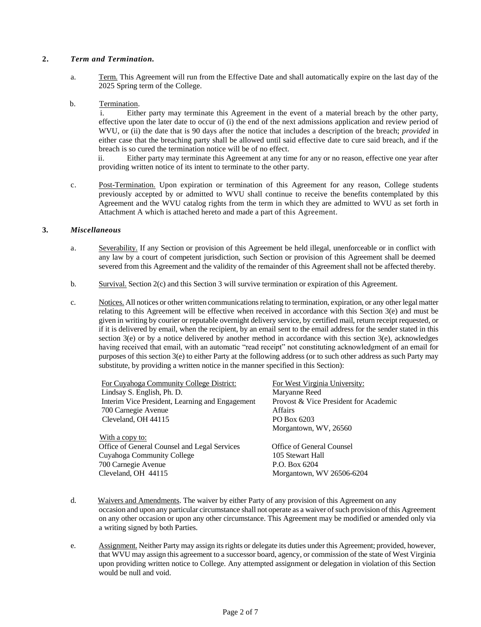### **2.** *Term and Termination.*

a. Term. This Agreement will run from the Effective Date and shall automatically expire on the last day of the 2025 Spring term of the College.

## b. Termination.

 i. Either party may terminate this Agreement in the event of a material breach by the other party, effective upon the later date to occur of (i) the end of the next admissions application and review period of WVU, or (ii) the date that is 90 days after the notice that includes a description of the breach; *provided* in either case that the breaching party shall be allowed until said effective date to cure said breach, and if the breach is so cured the termination notice will be of no effect.

 ii. Either party may terminate this Agreement at any time for any or no reason, effective one year after providing written notice of its intent to terminate to the other party.

c. Post-Termination. Upon expiration or termination of this Agreement for any reason, College students previously accepted by or admitted to WVU shall continue to receive the benefits contemplated by this Agreement and the WVU catalog rights from the term in which they are admitted to WVU as set forth in Attachment A which is attached hereto and made a part of this Agreement.

# **3.** *Miscellaneous*

- a. Severability. If any Section or provision of this Agreement be held illegal, unenforceable or in conflict with any law by a court of competent jurisdiction, such Section or provision of this Agreement shall be deemed severed from this Agreement and the validity of the remainder of this Agreement shall not be affected thereby.
- b. Survival. Section 2(c) and this Section 3 will survive termination or expiration of this Agreement.
- c. Notices. All notices or other written communications relating to termination, expiration, or any other legal matter relating to this Agreement will be effective when received in accordance with this Section 3(e) and must be given in writing by courier or reputable overnight delivery service, by certified mail, return receipt requested, or if it is delivered by email, when the recipient, by an email sent to the email address for the sender stated in this section 3(e) or by a notice delivered by another method in accordance with this section 3(e), acknowledges having received that email, with an automatic "read receipt" not constituting acknowledgment of an email for purposes of this section 3(e) to either Party at the following address (or to such other address as such Party may substitute, by providing a written notice in the manner specified in this Section):

| For Cuyahoga Community College District:        | For West Virginia University:         |
|-------------------------------------------------|---------------------------------------|
| Lindsay S. English, Ph. D.                      | Maryanne Reed                         |
| Interim Vice President, Learning and Engagement | Provost & Vice President for Academic |
| 700 Carnegie Avenue                             | <b>Affairs</b>                        |
| Cleveland, OH 44115                             | PO Box 6203                           |
|                                                 | Morgantown, WV, 26560                 |
| With a copy to:                                 |                                       |
| Office of General Counsel and Legal Services    | Office of General Counsel             |
| Cuyahoga Community College                      | 105 Stewart Hall                      |
| 700 Carnegie Avenue                             | P.O. Box 6204                         |
| Cleveland, OH 44115                             | Morgantown, WV 26506-6204             |
|                                                 |                                       |

- d. Waivers and Amendments. The waiver by either Party of any provision of this Agreement on any occasion and upon any particular circumstance shall not operate as a waiver of such provision of this Agreement on any other occasion or upon any other circumstance. This Agreement may be modified or amended only via a writing signed by both Parties.
- e. Assignment. Neither Party may assign its rights or delegate its duties under this Agreement; provided, however, that WVU may assign this agreement to a successor board, agency, or commission of the state of West Virginia upon providing written notice to College. Any attempted assignment or delegation in violation of this Section would be null and void.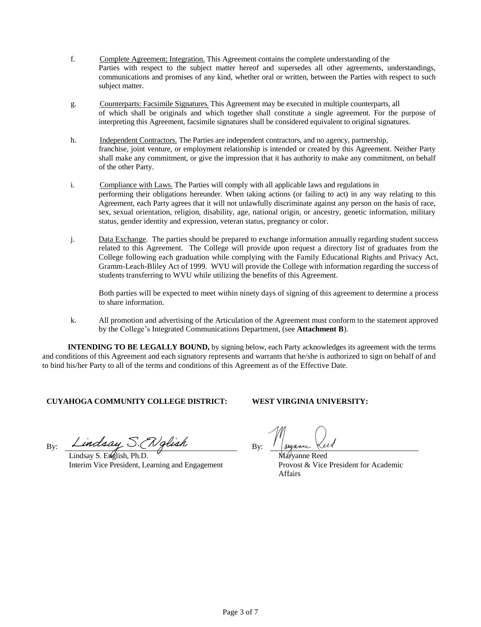- f. Complete Agreement; Integration. This Agreement contains the complete understanding of the Parties with respect to the subject matter hereof and supersedes all other agreements, understandings, communications and promises of any kind, whether oral or written, between the Parties with respect to such subject matter.
- g. Counterparts: Facsimile Signatures; This Agreement may be executed in multiple counterparts, all of which shall be originals and which together shall constitute a single agreement. For the purpose of interpreting this Agreement, facsimile signatures shall be considered equivalent to original signatures.
- h. Independent Contractors. The Parties are independent contractors, and no agency, partnership, franchise, joint venture, or employment relationship is intended or created by this Agreement. Neither Party shall make any commitment, or give the impression that it has authority to make any commitment, on behalf of the other Party.
- i. Compliance with Laws. The Parties will comply with all applicable laws and regulations in performing their obligations hereunder. When taking actions (or failing to act) in any way relating to this Agreement, each Party agrees that it will not unlawfully discriminate against any person on the basis of race, sex, sexual orientation, religion, disability, age, national origin, or ancestry, genetic information, military status, gender identity and expression, veteran status, pregnancy or color.
- j. Data Exchange. The parties should be prepared to exchange information annually regarding student success related to this Agreement. The College will provide upon request a directory list of graduates from the College following each graduation while complying with the Family Educational Rights and Privacy Act, Gramm-Leach-Bliley Act of 1999. WVU will provide the College with information regarding the success of students transferring to WVU while utilizing the benefits of this Agreement.

Both parties will be expected to meet within ninety days of signing of this agreement to determine a process to share information.

k. All promotion and advertising of the Articulation of the Agreement must conform to the statement approved by the College's Integrated Communications Department, (see **Attachment B**).

**INTENDING TO BE LEGALLY BOUND,** by signing below, each Party acknowledges its agreement with the terms and conditions of this Agreement and each signatory represents and warrants that he/she is authorized to sign on behalf of and to bind his/her Party to all of the terms and conditions of this Agreement as of the Effective Date.

# **CUYAHOGA COMMUNITY COLLEGE DISTRICT: WEST VIRGINIA UNIVERSITY:**

By: Lindsay S. (Nglish

Lindsay S. English, Ph.D. Interim Vice President, Learning and Engagement

Maryanne Reed Provost & Vice President for Academic Affairs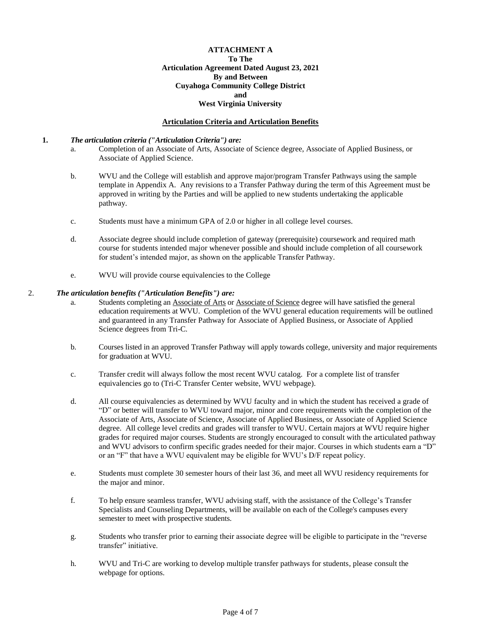#### **ATTACHMENT A To The Articulation Agreement Dated August 23, 2021 By and Between Cuyahoga Community College District and West Virginia University**

#### **Articulation Criteria and Articulation Benefits**

#### **1.** *The articulation criteria ("Articulation Criteria") are:*

- a. Completion of an Associate of Arts, Associate of Science degree, Associate of Applied Business, or Associate of Applied Science.
- b. WVU and the College will establish and approve major/program Transfer Pathways using the sample template in Appendix A. Any revisions to a Transfer Pathway during the term of this Agreement must be approved in writing by the Parties and will be applied to new students undertaking the applicable pathway.
- c. Students must have a minimum GPA of 2.0 or higher in all college level courses.
- d. Associate degree should include completion of gateway (prerequisite) coursework and required math course for students intended major whenever possible and should include completion of all coursework for student's intended major, as shown on the applicable Transfer Pathway*.*
- e. WVU will provide course equivalencies to the College

#### 2. *The articulation benefits ("Articulation Benefits") are:*

- a. Students completing an Associate of Arts or Associate of Science degree will have satisfied the general education requirements at WVU. Completion of the WVU general education requirements will be outlined and guaranteed in any Transfer Pathway for Associate of Applied Business, or Associate of Applied Science degrees from Tri-C.
- b. Courses listed in an approved Transfer Pathway will apply towards college, university and major requirements for graduation at WVU.
- c. Transfer credit will always follow the most recent WVU catalog. For a complete list of transfer equivalencies go to (Tri-C Transfer Center website, WVU webpage).
- d. All course equivalencies as determined by WVU faculty and in which the student has received a grade of "D" or better will transfer to WVU toward major, minor and core requirements with the completion of the Associate of Arts, Associate of Science, Associate of Applied Business, or Associate of Applied Science degree. All college level credits and grades will transfer to WVU. Certain majors at WVU require higher grades for required major courses. Students are strongly encouraged to consult with the articulated pathway and WVU advisors to confirm specific grades needed for their major. Courses in which students earn a "D" or an "F" that have a WVU equivalent may be eligible for WVU's D/F repeat policy.
- e. Students must complete 30 semester hours of their last 36, and meet all WVU residency requirements for the major and minor.
- f. To help ensure seamless transfer, WVU advising staff, with the assistance of the College's Transfer Specialists and Counseling Departments, will be available on each of the College's campuses every semester to meet with prospective students.
- g. Students who transfer prior to earning their associate degree will be eligible to participate in the "reverse transfer" initiative.
- h. WVU and Tri-C are working to develop multiple transfer pathways for students, please consult the webpage for options.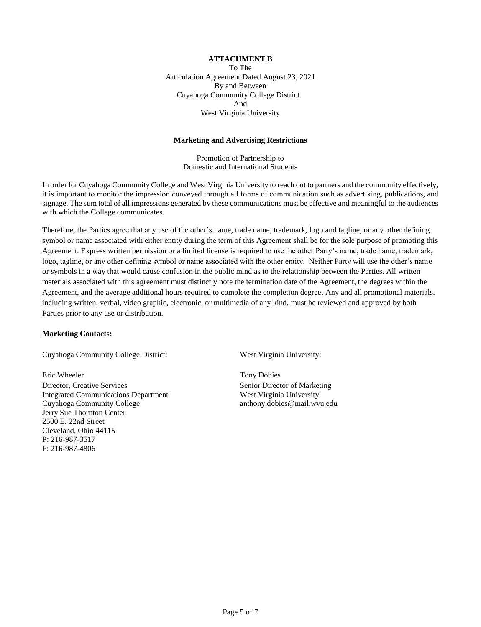# **ATTACHMENT B**

To The Articulation Agreement Dated August 23, 2021 By and Between Cuyahoga Community College District And West Virginia University

#### **Marketing and Advertising Restrictions**

Promotion of Partnership to Domestic and International Students

In order for Cuyahoga Community College and West Virginia University to reach out to partners and the community effectively, it is important to monitor the impression conveyed through all forms of communication such as advertising, publications, and signage. The sum total of all impressions generated by these communications must be effective and meaningful to the audiences with which the College communicates.

Therefore, the Parties agree that any use of the other's name, trade name, trademark, logo and tagline, or any other defining symbol or name associated with either entity during the term of this Agreement shall be for the sole purpose of promoting this Agreement. Express written permission or a limited license is required to use the other Party's name, trade name, trademark, logo, tagline, or any other defining symbol or name associated with the other entity. Neither Party will use the other's name or symbols in a way that would cause confusion in the public mind as to the relationship between the Parties. All written materials associated with this agreement must distinctly note the termination date of the Agreement, the degrees within the Agreement, and the average additional hours required to complete the completion degree. Any and all promotional materials, including written, verbal, video graphic, electronic, or multimedia of any kind, must be reviewed and approved by both Parties prior to any use or distribution.

#### **Marketing Contacts:**

Cuyahoga Community College District: West Virginia University:

Eric Wheeler Tony Dobies Director, Creative Services Senior Director of Marketing Integrated Communications Department West Virginia University Cuyahoga Community College anthony.dobies@mail.wvu.edu Jerry Sue Thornton Center 2500 E. 22nd Street Cleveland, Ohio 44115 P: 216-987-3517 F: 216-987-4806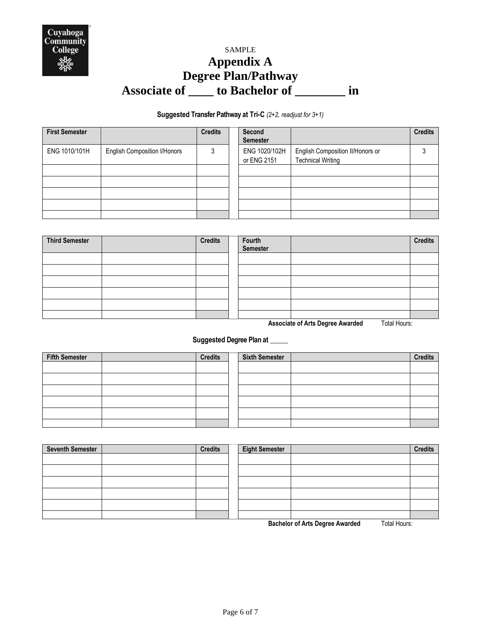

# SAMPLE **Appendix A Degree Plan/Pathway Associate of \_\_\_\_ to Bachelor of \_\_\_\_\_\_\_\_ in**

# **Suggested Transfer Pathway at Tri-C** *(2+2, readjust for 3+1)*

| <b>First Semester</b> |                                     | <b>Credits</b> | Second<br><b>Semester</b>    |                                                              | <b>Credits</b> |
|-----------------------|-------------------------------------|----------------|------------------------------|--------------------------------------------------------------|----------------|
| ENG 1010/101H         | <b>English Composition I/Honors</b> | 3              | ENG 1020/102H<br>or ENG 2151 | English Composition II/Honors or<br><b>Technical Writing</b> |                |
|                       |                                     |                |                              |                                                              |                |
|                       |                                     |                |                              |                                                              |                |
|                       |                                     |                |                              |                                                              |                |
|                       |                                     |                |                              |                                                              |                |
|                       |                                     |                |                              |                                                              |                |

| <b>Third Semester</b> | <b>Credits</b> | Fourth<br>Semester | <b>Credits</b> |
|-----------------------|----------------|--------------------|----------------|
|                       |                |                    |                |
|                       |                |                    |                |
|                       |                |                    |                |
|                       |                |                    |                |
|                       |                |                    |                |
|                       |                |                    |                |

**Associate of Arts Degree Awarded** Total Hours:

**Suggested Degree Plan at \_\_\_\_\_**

| <b>Fifth Semester</b> | <b>Credits</b> | <b>Sixth Semester</b> | <b>Credits</b> |
|-----------------------|----------------|-----------------------|----------------|
|                       |                |                       |                |
|                       |                |                       |                |
|                       |                |                       |                |
|                       |                |                       |                |
|                       |                |                       |                |
|                       |                |                       |                |

| <b>Seventh Semester</b> | <b>Credits</b> | <b>Eight Semester</b> | <b>Credits</b> |
|-------------------------|----------------|-----------------------|----------------|
|                         |                |                       |                |
|                         |                |                       |                |
|                         |                |                       |                |
|                         |                |                       |                |
|                         |                |                       |                |
|                         |                |                       |                |

**Bachelor of Arts Degree Awarded** Total Hours: